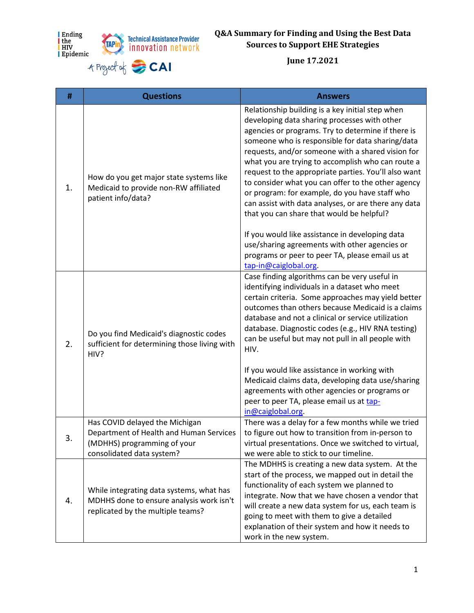





## **Q&A Summary for Finding and Using the Best Data Sources to Support EHE Strategies**

**June 17.2021**

| #  | <b>Questions</b>                                                                                                                      | <b>Answers</b>                                                                                                                                                                                                                                                                                                                                                                                                                                                                                                                                                                            |
|----|---------------------------------------------------------------------------------------------------------------------------------------|-------------------------------------------------------------------------------------------------------------------------------------------------------------------------------------------------------------------------------------------------------------------------------------------------------------------------------------------------------------------------------------------------------------------------------------------------------------------------------------------------------------------------------------------------------------------------------------------|
| 1. | How do you get major state systems like<br>Medicaid to provide non-RW affiliated<br>patient info/data?                                | Relationship building is a key initial step when<br>developing data sharing processes with other<br>agencies or programs. Try to determine if there is<br>someone who is responsible for data sharing/data<br>requests, and/or someone with a shared vision for<br>what you are trying to accomplish who can route a<br>request to the appropriate parties. You'll also want<br>to consider what you can offer to the other agency<br>or program: for example, do you have staff who<br>can assist with data analyses, or are there any data<br>that you can share that would be helpful? |
|    |                                                                                                                                       | If you would like assistance in developing data<br>use/sharing agreements with other agencies or<br>programs or peer to peer TA, please email us at<br>tap-in@caiglobal.org.                                                                                                                                                                                                                                                                                                                                                                                                              |
| 2. | Do you find Medicaid's diagnostic codes<br>sufficient for determining those living with<br>HIV?                                       | Case finding algorithms can be very useful in<br>identifying individuals in a dataset who meet<br>certain criteria. Some approaches may yield better<br>outcomes than others because Medicaid is a claims<br>database and not a clinical or service utilization<br>database. Diagnostic codes (e.g., HIV RNA testing)<br>can be useful but may not pull in all people with<br>HIV.<br>If you would like assistance in working with                                                                                                                                                        |
|    |                                                                                                                                       | Medicaid claims data, developing data use/sharing<br>agreements with other agencies or programs or<br>peer to peer TA, please email us at tap-<br>in@caiglobal.org.                                                                                                                                                                                                                                                                                                                                                                                                                       |
| 3. | Has COVID delayed the Michigan<br>Department of Health and Human Services<br>(MDHHS) programming of your<br>consolidated data system? | There was a delay for a few months while we tried<br>to figure out how to transition from in-person to<br>virtual presentations. Once we switched to virtual,<br>we were able to stick to our timeline.                                                                                                                                                                                                                                                                                                                                                                                   |
| 4. | While integrating data systems, what has<br>MDHHS done to ensure analysis work isn't<br>replicated by the multiple teams?             | The MDHHS is creating a new data system. At the<br>start of the process, we mapped out in detail the<br>functionality of each system we planned to<br>integrate. Now that we have chosen a vendor that<br>will create a new data system for us, each team is<br>going to meet with them to give a detailed<br>explanation of their system and how it needs to<br>work in the new system.                                                                                                                                                                                                  |